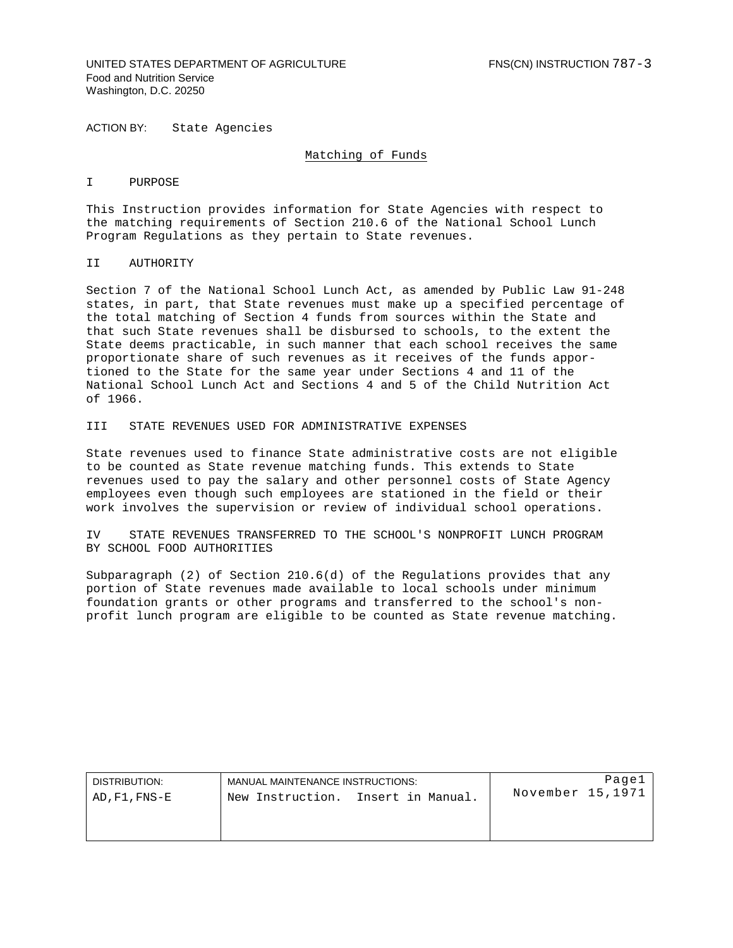## UNITED STATES DEPARTMENT OF AGRICULTURE FINS(CN) INSTRUCTION 787-3 Food and Nutrition Service Washington, D.C. 20250

ACTION BY: State Agencies

#### Matching of Funds

#### I PURPOSE

This Instruction provides information for State Agencies with respect to the matching requirements of Section 210.6 of the National School Lunch Program Regulations as they pertain to State revenues.

# II AUTHORITY

Section 7 of the National School Lunch Act, as amended by Public Law 91-248 states, in part, that State revenues must make up a specified percentage of the total matching of Section 4 funds from sources within the State and that such State revenues shall be disbursed to schools, to the extent the State deems practicable, in such manner that each school receives the same proportionate share of such revenues as it receives of the funds apportioned to the State for the same year under Sections 4 and 11 of the National School Lunch Act and Sections 4 and 5 of the Child Nutrition Act of 1966.

### III STATE REVENUES USED FOR ADMINISTRATIVE EXPENSES

State revenues used to finance State administrative costs are not eligible to be counted as State revenue matching funds. This extends to State revenues used to pay the salary and other personnel costs of State Agency employees even though such employees are stationed in the field or their work involves the supervision or review of individual school operations.

IV STATE REVENUES TRANSFERRED TO THE SCHOOL'S NONPROFIT LUNCH PROGRAM BY SCHOOL FOOD AUTHORITIES

Subparagraph (2) of Section 210.6(d) of the Regulations provides that any portion of State revenues made available to local schools under minimum foundation grants or other programs and transferred to the school's nonprofit lunch program are eligible to be counted as State revenue matching.

| DISTRIBUTION: | MANUAL MAINTENANCE INSTRUCTIONS:      | Pagel            |
|---------------|---------------------------------------|------------------|
| AD,F1,FNS-E   | Insert in Manual.<br>New Instruction. | November 15,1971 |
|               |                                       |                  |
|               |                                       |                  |